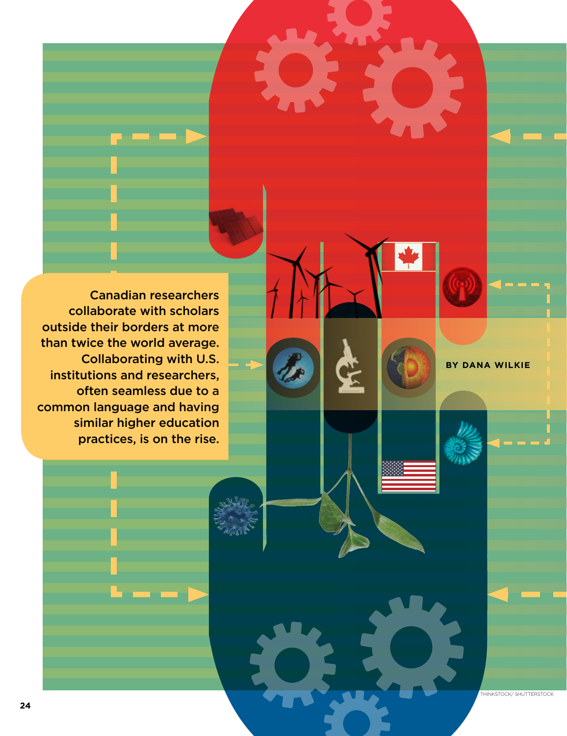Canadian researchers collaborate with scholars outside their borders at more than twice the world average. Collaborating with U.S. institutions and researchers, often seamless due to a common language and having similar higher education practices, is on the rise.

**By Dana Wilkie**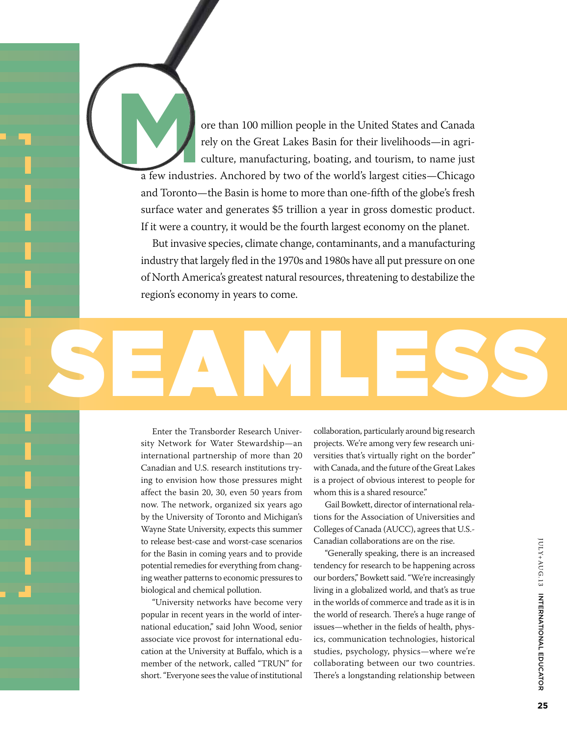ore than 100 million people in the United States and Canada<br>rely on the Great Lakes Basin for their livelihoods—in agri-<br>culture, manufacturing, boating, and tourism, to name just<br>a few industries. Anchored by two of the w rely on the Great Lakes Basin for their livelihoods—in agriculture, manufacturing, boating, and tourism, to name just

a few industries. Anchored by two of the world's largest cities—Chicago and Toronto—the Basin is home to more than one-fifth of the globe's fresh surface water and generates \$5 trillion a year in gross domestic product. If it were a country, it would be the fourth largest economy on the planet.

But invasive species, climate change, contaminants, and a manufacturing industry that largely fled in the 1970s and 1980s have all put pressure on one of North America's greatest natural resources, threatening to destabilize the region's economy in years to come.

Enter the Transborder Research University Network for Water Stewardship—an international partnership of more than 20 Canadian and U.S. research institutions trying to envision how those pressures might affect the basin 20, 30, even 50 years from now. The network, organized six years ago by the University of Toronto and Michigan's Wayne State University, expects this summer to release best-case and worst-case scenarios for the Basin in coming years and to provide potential remedies for everything from changing weather patterns to economic pressures to biological and chemical pollution.

Seamless

"University networks have become very popular in recent years in the world of international education," said John Wood, senior associate vice provost for international education at the University at Buffalo, which is a member of the network, called "TRUN" for short. "Everyone sees the value of institutional collaboration, particularly around big research projects. We're among very few research universities that's virtually right on the border" with Canada, and the future of the Great Lakes is a project of obvious interest to people for whom this is a shared resource."

Gail Bowkett, director of international relations for the Association of Universities and Colleges of Canada (AUCC), agrees that U.S.- Canadian collaborations are on the rise.

"Generally speaking, there is an increased tendency for research to be happening across our borders," Bowkett said. "We're increasingly living in a globalized world, and that's as true in the worlds of commerce and trade as it is in the world of research. There's a huge range of issues—whether in the fields of health, physics, communication technologies, historical studies, psychology, physics—where we're collaborating between our two countries. There's a longstanding relationship between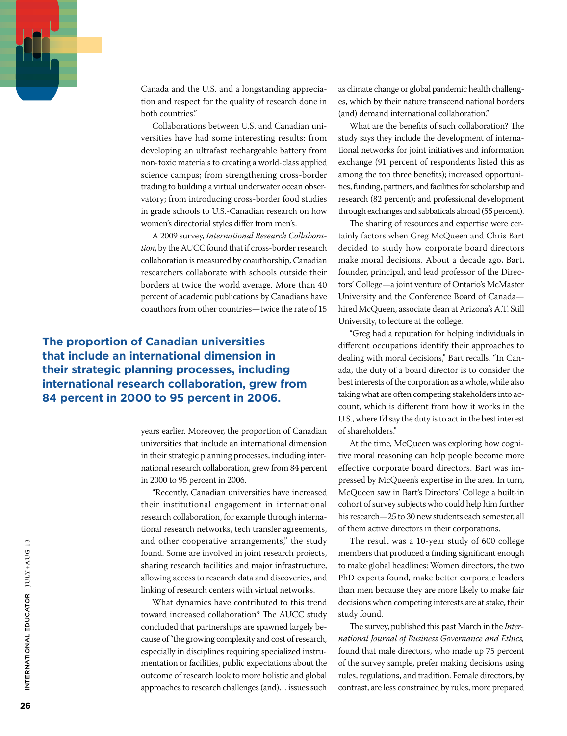

Canada and the U.S. and a longstanding appreciation and respect for the quality of research done in both countries."

Collaborations between U.S. and Canadian universities have had some interesting results: from developing an ultrafast rechargeable battery from non-toxic materials to creating a world-class applied science campus; from strengthening cross-border trading to building a virtual underwater ocean observatory; from introducing cross-border food studies in grade schools to U.S.-Canadian research on how women's directorial styles differ from men's.

A 2009 survey, *International Research Collaboration*, by the AUCC found that if cross-border research collaboration is measured by coauthorship, Canadian researchers collaborate with schools outside their borders at twice the world average. More than 40 percent of academic publications by Canadians have coauthors from other countries—twice the rate of 15

**The proportion of Canadian universities that include an international dimension in their strategic planning processes, including international research collaboration, grew from 84 percent in 2000 to 95 percent in 2006.** 

> years earlier. Moreover, the proportion of Canadian universities that include an international dimension in their strategic planning processes, including international research collaboration, grew from 84 percent in 2000 to 95 percent in 2006.

> "Recently, Canadian universities have increased their institutional engagement in international research collaboration, for example through international research networks, tech transfer agreements, and other cooperative arrangements," the study found. Some are involved in joint research projects, sharing research facilities and major infrastructure, allowing access to research data and discoveries, and linking of research centers with virtual networks.

> What dynamics have contributed to this trend toward increased collaboration? The AUCC study concluded that partnerships are spawned largely because of "the growing complexity and cost of research, especially in disciplines requiring specialized instrumentation or facilities, public expectations about the outcome of research look to more holistic and global approaches to research challenges (and)… issues such

as climate change or global pandemic health challenges, which by their nature transcend national borders (and) demand international collaboration."

What are the benefits of such collaboration? The study says they include the development of international networks for joint initiatives and information exchange (91 percent of respondents listed this as among the top three benefits); increased opportunities, funding, partners, and facilities for scholarship and research (82 percent); and professional development through exchanges and sabbaticals abroad (55 percent).

The sharing of resources and expertise were certainly factors when Greg McQueen and Chris Bart decided to study how corporate board directors make moral decisions. About a decade ago, Bart, founder, principal, and lead professor of the Directors' College—a joint venture of Ontario's McMaster University and the Conference Board of Canada hired McQueen, associate dean at Arizona's A.T. Still University, to lecture at the college.

"Greg had a reputation for helping individuals in different occupations identify their approaches to dealing with moral decisions," Bart recalls. "In Canada, the duty of a board director is to consider the best interests of the corporation as a whole, while also taking what are often competing stakeholders into account, which is different from how it works in the U.S., where I'd say the duty is to act in the best interest of shareholders."

At the time, McQueen was exploring how cognitive moral reasoning can help people become more effective corporate board directors. Bart was impressed by McQueen's expertise in the area. In turn, McQueen saw in Bart's Directors' College a built-in cohort of survey subjects who could help him further his research—25 to 30 new students each semester, all of them active directors in their corporations.

The result was a 10-year study of 600 college members that produced a finding significant enough to make global headlines: Women directors, the two PhD experts found, make better corporate leaders than men because they are more likely to make fair decisions when competing interests are at stake, their study found.

The survey, published this past March in the *International Journal of Business Governance and Ethics,*  found that male directors, who made up 75 percent of the survey sample, prefer making decisions using rules, regulations, and tradition. Female directors, by contrast, are less constrained by rules, more prepared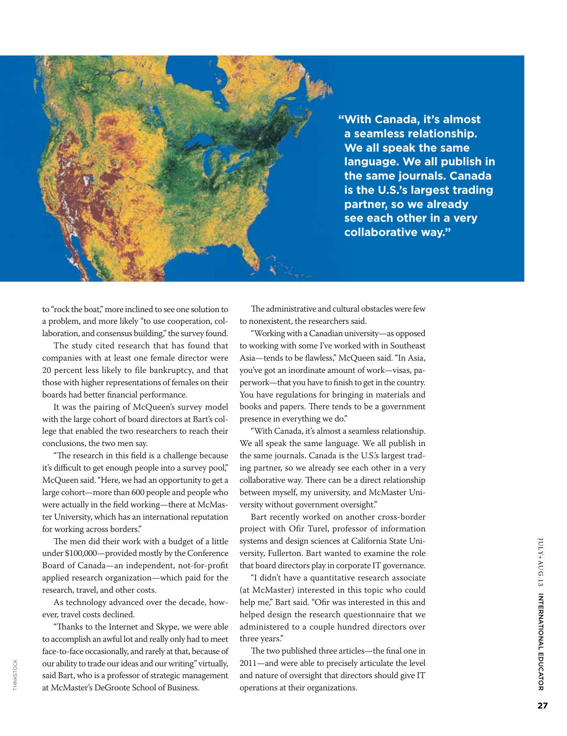

**"With Canada, it's almost a seamless relationship. We all speak the same language. We all publish in the same journals. Canada is the U.S.'s largest trading partner, so we already see each other in a very collaborative way."**

to "rock the boat," more inclined to see one solution to a problem, and more likely "to use cooperation, collaboration, and consensus building," the survey found.

The study cited research that has found that companies with at least one female director were 20 percent less likely to file bankruptcy, and that those with higher representations of females on their boards had better financial performance.

It was the pairing of McQueen's survey model with the large cohort of board directors at Bart's college that enabled the two researchers to reach their conclusions, the two men say.

"The research in this field is a challenge because it's difficult to get enough people into a survey pool," McQueen said. "Here, we had an opportunity to get a large cohort—more than 600 people and people who were actually in the field working—there at McMaster University, which has an international reputation for working across borders."

The men did their work with a budget of a little under \$100,000—provided mostly by the Conference Board of Canada—an independent, not-for-profit applied research organization—which paid for the research, travel, and other costs.

As technology advanced over the decade, however, travel costs declined.

"Thanks to the Internet and Skype, we were able to accomplish an awful lot and really only had to meet face-to-face occasionally, and rarely at that, because of our ability to trade our ideas and our writing" virtually, said Bart, who is a professor of strategic management at McMaster's DeGroote School of Business.

The administrative and cultural obstacles were few to nonexistent, the researchers said.

"Working with a Canadian university—as opposed to working with some I've worked with in Southeast Asia—tends to be flawless," McQueen said. "In Asia, you've got an inordinate amount of work—visas, paperwork—that you have to finish to get in the country. You have regulations for bringing in materials and books and papers. There tends to be a government presence in everything we do."

"With Canada, it's almost a seamless relationship. We all speak the same language. We all publish in the same journals. Canada is the U.S.'s largest trading partner, so we already see each other in a very collaborative way. There can be a direct relationship between myself, my university, and McMaster University without government oversight."

Bart recently worked on another cross-border project with Ofir Turel, professor of information systems and design sciences at California State University, Fullerton. Bart wanted to examine the role that board directors play in corporate IT governance.

"I didn't have a quantitative research associate (at McMaster) interested in this topic who could help me," Bart said. "Ofir was interested in this and helped design the research questionnaire that we administered to a couple hundred directors over three years."

The two published three articles—the final one in 2011—and were able to precisely articulate the level and nature of oversight that directors should give IT operations at their organizations.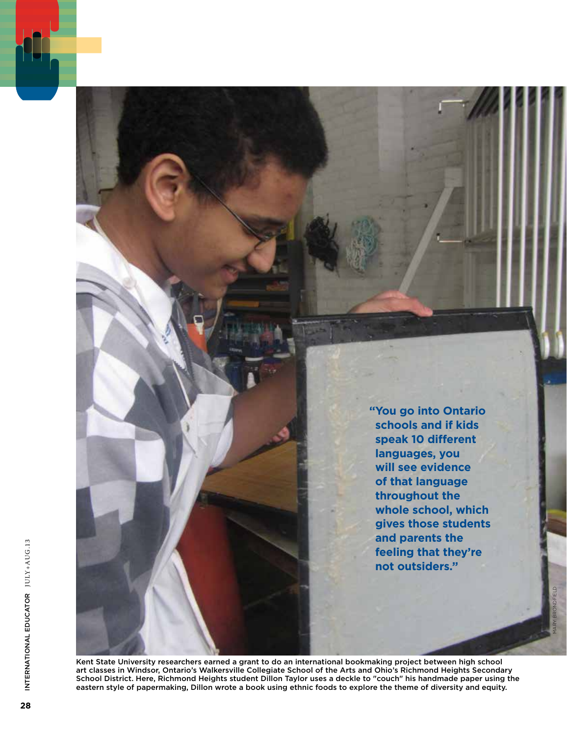**" You go into Ontario schools and if kids speak 10 different languages, you will see evidence of that language throughout the whole school, which gives those students and parents the feeling that they're not outsiders."**

Mary Brondfield

Kent State University researchers earned a grant to do an international bookmaking project between high school art classes in Windsor, Ontario's Walkersville Collegiate School of the Arts and Ohio's Richmond Heights Secondary School District. Here, Richmond Heights student Dillon Taylor uses a deckle to "couch" his handmade paper using the eastern style of papermaking, Dillon wrote a book using ethnic foods to explore the theme of diversity and equity.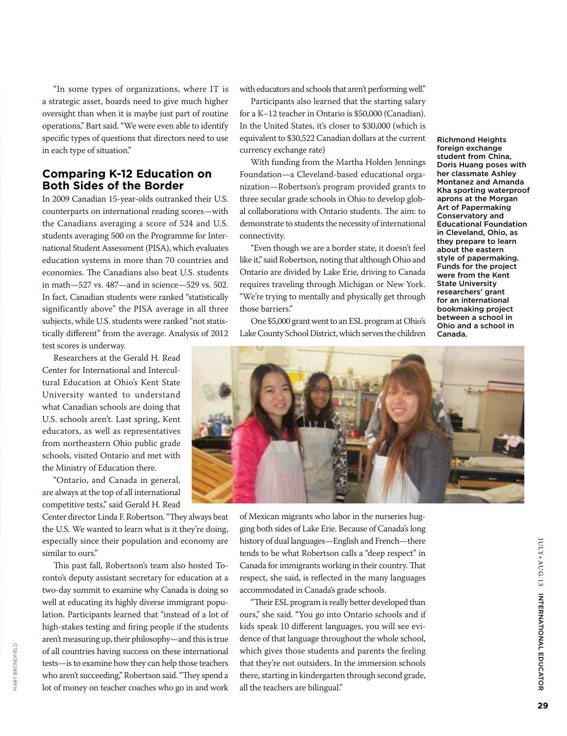"In some types of organizations, where IT is a strategic asset, boards need to give much higher oversight than when it is maybe just part of routine operations," Bart said. "We were even able to identify specific types of questions that directors need to use in each type of situation."

#### **Comparing K-12 Education on Both Sides of the Border**

In 2009 Canadian 15-year-olds outranked their U.S. counterparts on international reading scores—with the Canadians averaging a score of 524 and U.S. students averaging 500 on the Programme for International Student Assessment (PISA), which evaluates education systems in more than 70 countries and economies. The Canadians also beat U.S. students in math—527 vs. 487—and in science—529 vs. 502. In fact, Canadian students were ranked "statistically significantly above" the PISA average in all three subjects, while U.S. students were ranked "not statistically different" from the average. Analysis of 2012 test scores is underway.

Researchers at the Gerald H. Read Center for International and Intercultural Education at Ohio's Kent State University wanted to understand what Canadian schools are doing that U.S. schools aren't. Last spring, Kent educators, as well as representatives from northeastern Ohio public grade schools, visited Ontario and met with the Ministry of Education there.

"Ontario, and Canada in general, are always at the top of all international competitive tests," said Gerald H. Read

Center director Linda F. Robertson. "They always beat the U.S. We wanted to learn what is it they're doing, especially since their population and economy are similar to ours."

This past fall, Robertson's team also hosted Toronto's deputy assistant secretary for education at a two-day summit to examine why Canada is doing so well at educating its highly diverse immigrant population. Participants learned that "instead of a lot of high-stakes testing and firing people if the students aren't measuring up, their philosophy—and this is true of all countries having success on these international which gives those students a<br>
tests—is to examine how they can help those teachers that they're not outsiders. In<br>
who aren't succeeding," Robertson said. "They spend tests—is to examine how they can help those teachers who aren't succeeding," Robertson said. "They spend a lot of money on teacher coaches who go in and work

with educators and schools that aren't performing well."

Participants also learned that the starting salary for a K–12 teacher in Ontario is \$50,000 (Canadian). In the United States, it's closer to \$30,000 (which is equivalent to \$30,522 Canadian dollars at the current currency exchange rate)

With funding from the Martha Holden Jennings Foundation—a Cleveland-based educational organization—Robertson's program provided grants to three secular grade schools in Ohio to develop global collaborations with Ontario students. The aim: to demonstrate to students the necessity of international connectivity.

"Even though we are a border state, it doesn't feel like it," said Robertson, noting that although Ohio and Ontario are divided by Lake Erie, driving to Canada requires traveling through Michigan or New York. "We're trying to mentally and physically get through those barriers."

One \$5,000 grant went to an ESL program at Ohio's Lake County School District, which serves the children

Richmond Heights foreign exchange student from China, Doris Huang poses with her classmate Ashley Montanez and Amanda Kha sporting waterproof aprons at the Morgan Art of Papermaking Conservatory and Educational Foundation in Cleveland, Ohio, as they prepare to learn about the eastern style of papermaking. Funds for the project were from the Kent State University researchers' grant for an international bookmaking project between a school in Ohio and a school in Canada.



of Mexican migrants who labor in the nurseries hugging both sides of Lake Erie. Because of Canada's long history of dual languages—English and French—there tends to be what Robertson calls a "deep respect" in Canada for immigrants working in their country. That respect, she said, is reflected in the many languages accommodated in Canada's grade schools.

"Their ESL program is really better developed than ours," she said. "You go into Ontario schools and if kids speak 10 different languages, you will see evidence of that language throughout the whole school, which gives those students and parents the feeling that they're not outsiders. In the immersion schools there, starting in kindergarten through second grade,

INTERNATIONAL EDUCATOR

ULY+AUG.13 INTERNATIONAL EDUCATOR

JULY+AUG.13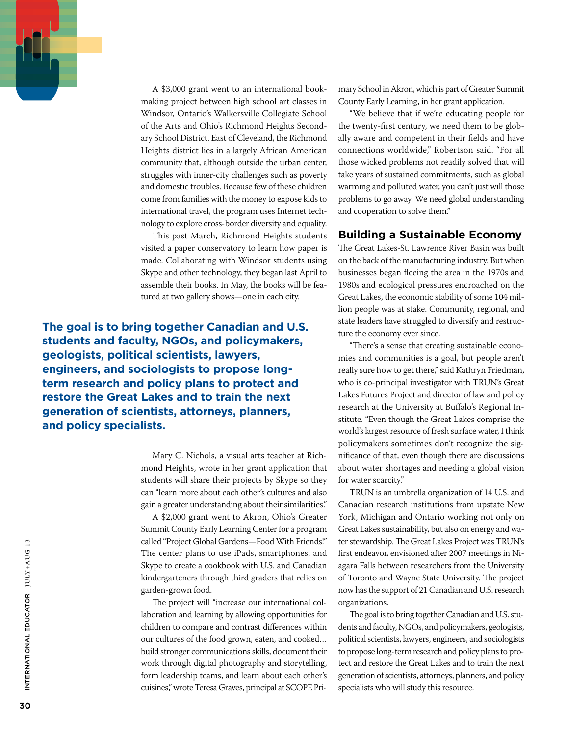

A \$3,000 grant went to an international bookmaking project between high school art classes in Windsor, Ontario's Walkersville Collegiate School of the Arts and Ohio's Richmond Heights Secondary School District. East of Cleveland, the Richmond Heights district lies in a largely African American community that, although outside the urban center, struggles with inner-city challenges such as poverty and domestic troubles. Because few of these children come from families with the money to expose kids to international travel, the program uses Internet technology to explore cross-border diversity and equality.

This past March, Richmond Heights students visited a paper conservatory to learn how paper is made. Collaborating with Windsor students using Skype and other technology, they began last April to assemble their books. In May, the books will be featured at two gallery shows—one in each city.

**The goal is to bring together Canadian and U.S. students and faculty, NGOs, and policymakers, geologists, political scientists, lawyers, engineers, and sociologists to propose longterm research and policy plans to protect and restore the Great Lakes and to train the next generation of scientists, attorneys, planners, and policy specialists.**

> Mary C. Nichols, a visual arts teacher at Richmond Heights, wrote in her grant application that students will share their projects by Skype so they can "learn more about each other's cultures and also gain a greater understanding about their similarities."

> A \$2,000 grant went to Akron, Ohio's Greater Summit County Early Learning Center for a program called "Project Global Gardens—Food With Friends!" The center plans to use iPads, smartphones, and Skype to create a cookbook with U.S. and Canadian kindergarteners through third graders that relies on garden-grown food.

> The project will "increase our international collaboration and learning by allowing opportunities for children to compare and contrast differences within our cultures of the food grown, eaten, and cooked… build stronger communications skills, document their work through digital photography and storytelling, form leadership teams, and learn about each other's cuisines," wrote Teresa Graves, principal at SCOPE Pri

mary School in Akron, which is part of Greater Summit County Early Learning, in her grant application.

"We believe that if we're educating people for the twenty-first century, we need them to be globally aware and competent in their fields and have connections worldwide," Robertson said. "For all those wicked problems not readily solved that will take years of sustained commitments, such as global warming and polluted water, you can't just will those problems to go away. We need global understanding and cooperation to solve them."

#### **Building a Sustainable Economy**

The Great Lakes-St. Lawrence River Basin was built on the back of the manufacturing industry. But when businesses began fleeing the area in the 1970s and 1980s and ecological pressures encroached on the Great Lakes, the economic stability of some 104 million people was at stake. Community, regional, and state leaders have struggled to diversify and restructure the economy ever since.

"There's a sense that creating sustainable economies and communities is a goal, but people aren't really sure how to get there," said Kathryn Friedman, who is co-principal investigator with TRUN's Great Lakes Futures Project and director of law and policy research at the University at Buffalo's Regional Institute. "Even though the Great Lakes comprise the world's largest resource of fresh surface water, I think policymakers sometimes don't recognize the significance of that, even though there are discussions about water shortages and needing a global vision for water scarcity."

TRUN is an umbrella organization of 14 U.S. and Canadian research institutions from upstate New York, Michigan and Ontario working not only on Great Lakes sustainability, but also on energy and water stewardship. The Great Lakes Project was TRUN's first endeavor, envisioned after 2007 meetings in Niagara Falls between researchers from the University of Toronto and Wayne State University. The project now has the support of 21 Canadian and U.S. research organizations.

The goal is to bring together Canadian and U.S. students and faculty, NGOs, and policymakers, geologists, political scientists, lawyers, engineers, and sociologists to propose long-term research and policy plans to protect and restore the Great Lakes and to train the next generation of scientists, attorneys, planners, and policy specialists who will study this resource.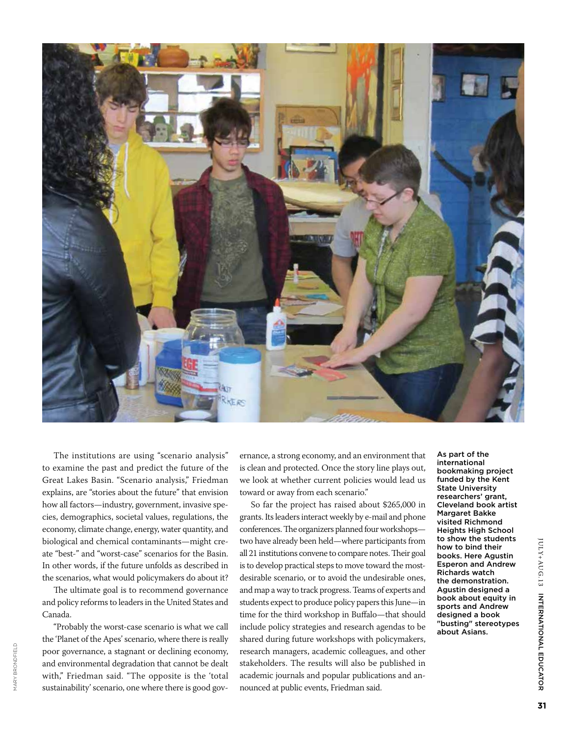

The institutions are using "scenario analysis" to examine the past and predict the future of the Great Lakes Basin. "Scenario analysis," Friedman explains, are "stories about the future" that envision how all factors—industry, government, invasive species, demographics, societal values, regulations, the economy, climate change, energy, water quantity, and biological and chemical contaminants—might create "best-" and "worst-case" scenarios for the Basin. In other words, if the future unfolds as described in the scenarios, what would policymakers do about it?

The ultimate goal is to recommend governance and policy reforms to leaders in the United States and Canada.

"Probably the worst-case scenario is what we call the 'Planet of the Apes' scenario, where there is really poor governance, a stagnant or declining economy, and environmental degradation that cannot be dealt with," Friedman said. "The opposite is the 'total sustainability' scenario, one where there is good govpoor governance, a stagnant or declining economy, research managers, academic colleagues<br>and environmental degradation that cannot be dealt stakeholders. The results will also be p<br>with," Friedman said. "The opposite is t

ernance, a strong economy, and an environment that is clean and protected. Once the story line plays out, we look at whether current policies would lead us toward or away from each scenario."

So far the project has raised about \$265,000 in grants. Its leaders interact weekly by e-mail and phone conferences. The organizers planned four workshops two have already been held—where participants from all 21 institutions convene to compare notes. Their goal is to develop practical steps to move toward the mostdesirable scenario, or to avoid the undesirable ones, and map a way to track progress. Teams of experts and students expect to produce policy papers this June—in time for the third workshop in Buffalo—that should include policy strategies and research agendas to be shared during future workshops with policymakers, research managers, academic colleagues, and other stakeholders. The results will also be published in academic journals and popular publications and an-

As part of the international bookmaking project funded by the Kent State University researchers' grant, Cleveland book artist Margaret Bakke visited Richmond Heights High School to show the students how to bind their books. Here Agustin Esperon and Andrew Richards watch the demonstration. Agustin designed a book about equity in sports and Andrew designed a book "busting" stereotypes about Asians.

INTERNATIONAL EDUCATOR

IULY+AUG.13 INTERNATIONAL EDUCATOR

JULY+AUG.13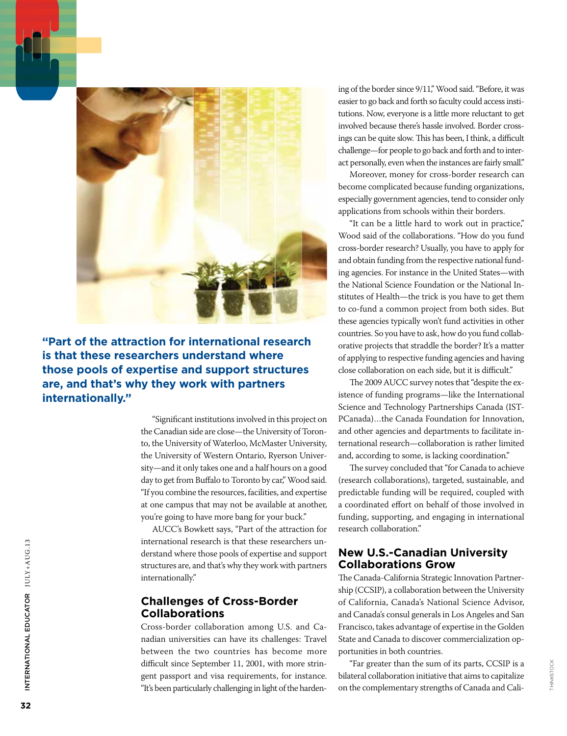

**"Part of the attraction for international research is that these researchers understand where those pools of expertise and support structures are, and that's why they work with partners internationally."** 

> "Significant institutions involved in this project on the Canadian side are close—the University of Toronto, the University of Waterloo, McMaster University, the University of Western Ontario, Ryerson University—and it only takes one and a half hours on a good day to get from Buffalo to Toronto by car," Wood said. "If you combine the resources, facilities, and expertise at one campus that may not be available at another, you're going to have more bang for your buck."

> AUCC's Bowkett says, "Part of the attraction for international research is that these researchers understand where those pools of expertise and support structures are, and that's why they work with partners internationally."

#### **Challenges of Cross-Border Collaborations**

Cross-border collaboration among U.S. and Canadian universities can have its challenges: Travel between the two countries has become more difficult since September 11, 2001, with more stringent passport and visa requirements, for instance. "It's been particularly challenging in light of the hardening of the border since 9/11," Wood said. "Before, it was easier to go back and forth so faculty could access institutions. Now, everyone is a little more reluctant to get involved because there's hassle involved. Border crossings can be quite slow. This has been, I think, a difficult challenge—for people to go back and forth and to interact personally, even when the instances are fairly small."

Moreover, money for cross-border research can become complicated because funding organizations, especially government agencies, tend to consider only applications from schools within their borders.

"It can be a little hard to work out in practice," Wood said of the collaborations. "How do you fund cross-border research? Usually, you have to apply for and obtain funding from the respective national funding agencies. For instance in the United States—with the National Science Foundation or the National Institutes of Health—the trick is you have to get them to co-fund a common project from both sides. But these agencies typically won't fund activities in other countries. So you have to ask, how do you fund collaborative projects that straddle the border? It's a matter of applying to respective funding agencies and having close collaboration on each side, but it is difficult."

The 2009 AUCC survey notes that "despite the existence of funding programs—like the International Science and Technology Partnerships Canada (IST-PCanada)…the Canada Foundation for Innovation, and other agencies and departments to facilitate international research—collaboration is rather limited and, according to some, is lacking coordination."

The survey concluded that "for Canada to achieve (research collaborations), targeted, sustainable, and predictable funding will be required, coupled with a coordinated effort on behalf of those involved in funding, supporting, and engaging in international research collaboration."

#### **New U.S.-Canadian University Collaborations Grow**

The Canada-California Strategic Innovation Partnership (CCSIP), a collaboration between the University of California, Canada's National Science Advisor, and Canada's consul generals in Los Angeles and San Francisco, takes advantage of expertise in the Golden State and Canada to discover commercialization opportunities in both countries.

"Far greater than the sum of its parts, CCSIP is a bilateral collaboration initiative that aims to capitalize on the complementary strengths of Canada and Cali